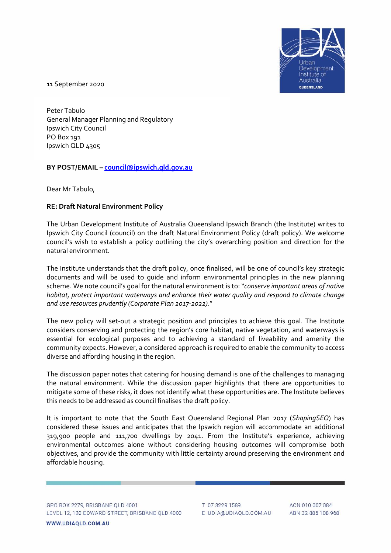

11 September 2020

Peter Tabulo General Manager Planning and Regulatory Ipswich City Council PO Box 191 Ipswich QLD 4305

**BY POST/EMAIL – [council@ipswich.qld.gov.au](mailto:council@ipswich.qld.gov.au)**

Dear Mr Tabulo,

## **RE: Draft Natural Environment Policy**

The Urban Development Institute of Australia Queensland Ipswich Branch (the Institute) writes to Ipswich City Council (council) on the draft Natural Environment Policy (draft policy). We welcome council's wish to establish a policy outlining the city's overarching position and direction for the natural environment.

The Institute understands that the draft policy, once finalised, will be one of council's key strategic documents and will be used to guide and inform environmental principles in the new planning scheme. We note council's goal for the natural environment is to: "*conserve important areas of native habitat, protect important waterways and enhance their water quality and respond to climate change and use resources prudently (Corporate Plan 2017-2022).*"

The new policy will set-out a strategic position and principles to achieve this goal. The Institute considers conserving and protecting the region's core habitat, native vegetation, and waterways is essential for ecological purposes and to achieving a standard of liveability and amenity the community expects. However, a considered approach is required to enable the community to access diverse and affording housing in the region.

The discussion paper notes that catering for housing demand is one of the challenges to managing the natural environment. While the discussion paper highlights that there are opportunities to mitigate some of these risks, it does not identify what these opportunities are. The Institute believes this needs to be addressed as council finalises the draft policy.

It is important to note that the South East Queensland Regional Plan 2017 (*ShapingSEQ*) has considered these issues and anticipates that the Ipswich region will accommodate an additional 319,900 people and 111,700 dwellings by 2041. From the Institute's experience, achieving environmental outcomes alone without considering housing outcomes will compromise both objectives, and provide the community with little certainty around preserving the environment and affordable housing.

GPO BOX 2279, BRISBANE QLD 4001 LEVEL 12, 120 EDWARD STREET, BRISBANE QLD 4000

WWW.UDIAQLD.COM.AU

T 07 3229 1589 E UDIA@UDIAQLD.COM.AU

ACN 010 007 084 ABN 32 885 108 968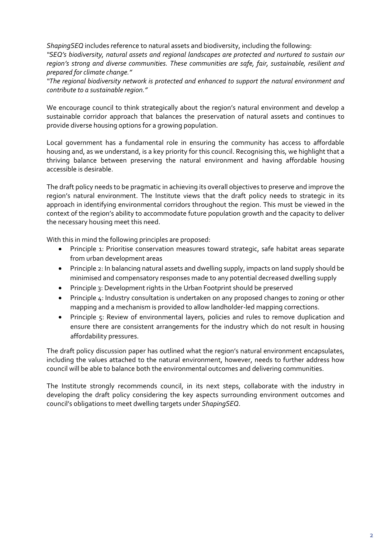*ShapingSEQ* includes reference to natural assets and biodiversity, including the following:

*"SEQ's biodiversity, natural assets and regional landscapes are protected and nurtured to sustain our region's strong and diverse communities. These communities are safe, fair, sustainable, resilient and prepared for climate change."*

*"The regional biodiversity network is protected and enhanced to support the natural environment and contribute to a sustainable region."*

We encourage council to think strategically about the region's natural environment and develop a sustainable corridor approach that balances the preservation of natural assets and continues to provide diverse housing options for a growing population.

Local government has a fundamental role in ensuring the community has access to affordable housing and, as we understand, is a key priority for this council. Recognising this, we highlight that a thriving balance between preserving the natural environment and having affordable housing accessible is desirable.

The draft policy needs to be pragmatic in achieving its overall objectives to preserve and improve the region's natural environment. The Institute views that the draft policy needs to strategic in its approach in identifying environmental corridors throughout the region. This must be viewed in the context of the region's ability to accommodate future population growth and the capacity to deliver the necessary housing meet this need.

With this in mind the following principles are proposed:

- Principle 1: Prioritise conservation measures toward strategic, safe habitat areas separate from urban development areas
- Principle 2: In balancing natural assets and dwelling supply, impacts on land supply should be minimised and compensatory responses made to any potential decreased dwelling supply
- Principle 3: Development rights in the Urban Footprint should be preserved
- Principle 4: Industry consultation is undertaken on any proposed changes to zoning or other mapping and a mechanism is provided to allow landholder-led mapping corrections.
- Principle 5: Review of environmental layers, policies and rules to remove duplication and ensure there are consistent arrangements for the industry which do not result in housing affordability pressures.

The draft policy discussion paper has outlined what the region's natural environment encapsulates, including the values attached to the natural environment, however, needs to further address how council will be able to balance both the environmental outcomes and delivering communities.

The Institute strongly recommends council, in its next steps, collaborate with the industry in developing the draft policy considering the key aspects surrounding environment outcomes and council's obligations to meet dwelling targets under *ShapingSEQ*.